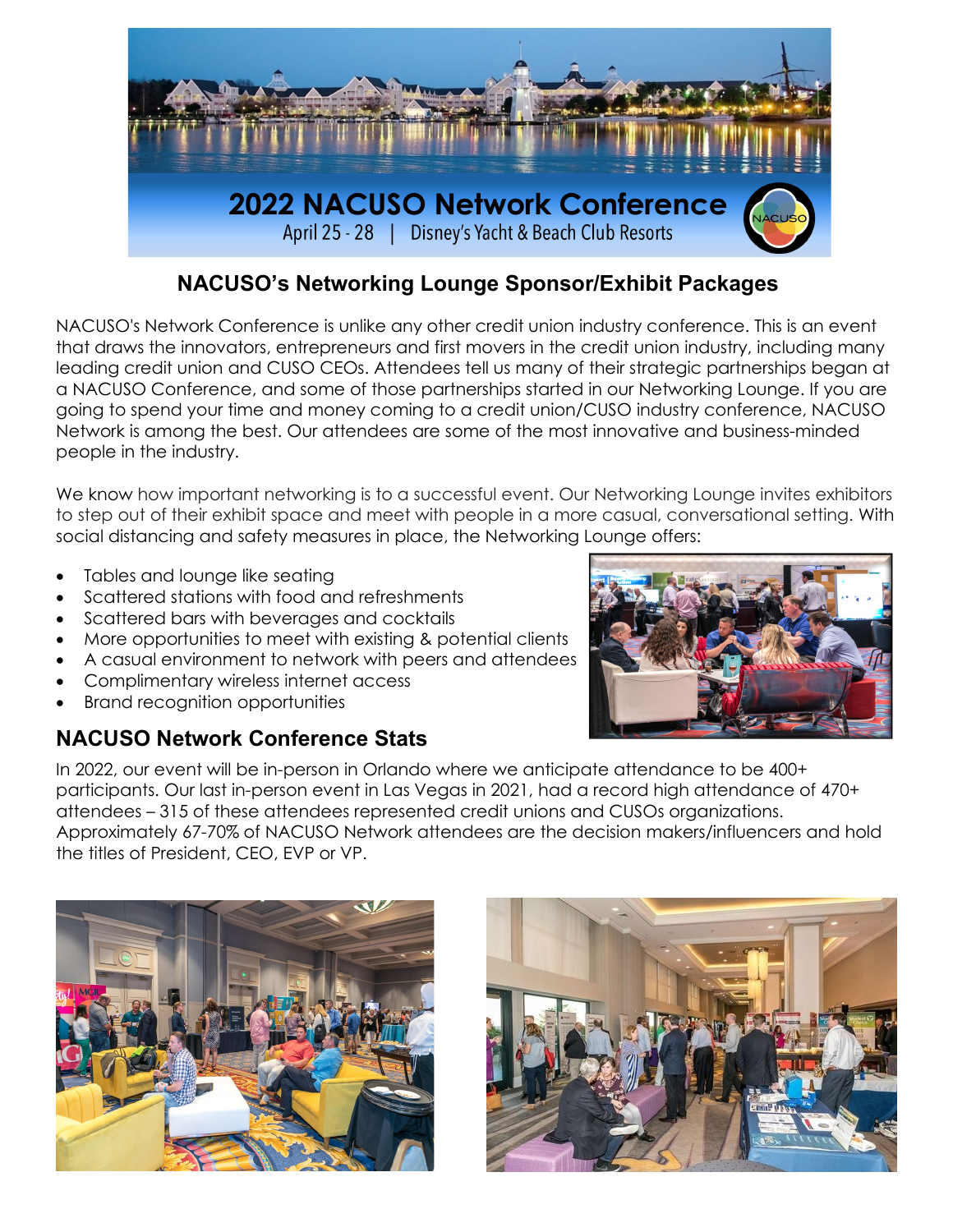

## **NACUSO's Networking Lounge Sponsor/Exhibit Packages**

NACUSO's Network Conference is unlike any other credit union industry conference. This is an event that draws the innovators, entrepreneurs and first movers in the credit union industry, including many leading credit union and CUSO CEOs. Attendees tell us many of their strategic partnerships began at a NACUSO Conference, and some of those partnerships started in our Networking Lounge. If you are going to spend your time and money coming to a credit union/CUSO industry conference, NACUSO Network is among the best. Our attendees are some of the most innovative and business-minded people in the industry.

We know how important networking is to a successful event. Our Networking Lounge invites exhibitors to step out of their exhibit space and meet with people in a more casual, conversational setting. With social distancing and safety measures in place, the Networking Lounge offers:

- Tables and lounge like seating
- Scattered stations with food and refreshments
- Scattered bars with beverages and cocktails
- More opportunities to meet with existing & potential clients
- A casual environment to network with peers and attendees
- Complimentary wireless internet access
- Brand recognition opportunities

# **NACUSO Network Conference Stats**



In 2022, our event will be in-person in Orlando where we anticipate attendance to be 400+ participants. Our last in-person event in Las Vegas in 2021, had a record high attendance of 470+ attendees – 315 of these attendees represented credit unions and CUSOs organizations. Approximately 67-70% of NACUSO Network attendees are the decision makers/influencers and hold the titles of President, CEO, EVP or VP.



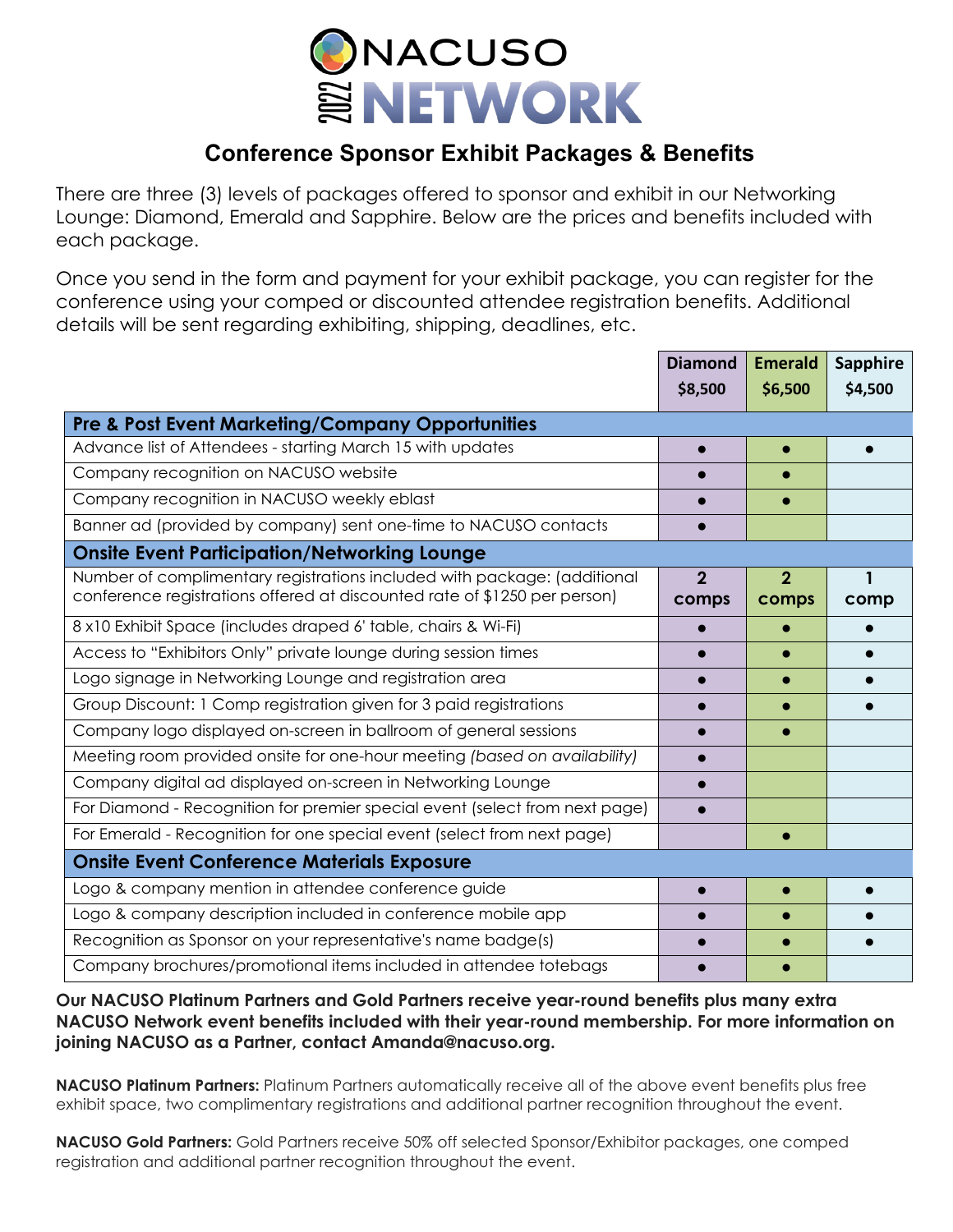

# **Conference Sponsor Exhibit Packages & Benefits**

There are three (3) levels of packages offered to sponsor and exhibit in our Networking Lounge: Diamond, Emerald and Sapphire. Below are the prices and benefits included with each package.

Once you send in the form and payment for your exhibit package, you can register for the conference using your comped or discounted attendee registration benefits. Additional details will be sent regarding exhibiting, shipping, deadlines, etc.

|                                                                                                                                                       | <b>Diamond</b> | <b>Emerald</b> | <b>Sapphire</b> |
|-------------------------------------------------------------------------------------------------------------------------------------------------------|----------------|----------------|-----------------|
|                                                                                                                                                       | \$8,500        | \$6,500        | \$4,500         |
| <b>Pre &amp; Post Event Marketing/Company Opportunities</b>                                                                                           |                |                |                 |
| Advance list of Attendees - starting March 15 with updates                                                                                            |                |                |                 |
| Company recognition on NACUSO website                                                                                                                 |                |                |                 |
| Company recognition in NACUSO weekly eblast                                                                                                           |                |                |                 |
| Banner ad (provided by company) sent one-time to NACUSO contacts                                                                                      |                |                |                 |
| <b>Onsite Event Participation/Networking Lounge</b>                                                                                                   |                |                |                 |
| Number of complimentary registrations included with package: (additional<br>conference registrations offered at discounted rate of \$1250 per person) | $\overline{2}$ | $\overline{2}$ |                 |
|                                                                                                                                                       | comps          | comps          | comp            |
| 8 x10 Exhibit Space (includes draped 6' table, chairs & Wi-Fi)                                                                                        | $\bullet$      |                |                 |
| Access to "Exhibitors Only" private lounge during session times                                                                                       |                |                |                 |
| Logo signage in Networking Lounge and registration area                                                                                               |                |                |                 |
| Group Discount: 1 Comp registration given for 3 paid registrations                                                                                    |                |                |                 |
| Company logo displayed on-screen in ballroom of general sessions                                                                                      |                |                |                 |
| Meeting room provided onsite for one-hour meeting (based on availability)                                                                             |                |                |                 |
| Company digital ad displayed on-screen in Networking Lounge                                                                                           |                |                |                 |
| For Diamond - Recognition for premier special event (select from next page)                                                                           |                |                |                 |
| For Emerald - Recognition for one special event (select from next page)                                                                               |                |                |                 |
| <b>Onsite Event Conference Materials Exposure</b>                                                                                                     |                |                |                 |
| Logo & company mention in attendee conference guide                                                                                                   |                |                |                 |
| Logo & company description included in conference mobile app                                                                                          |                |                |                 |
| Recognition as Sponsor on your representative's name badge(s)                                                                                         |                |                |                 |
| Company brochures/promotional items included in attendee totebags                                                                                     |                |                |                 |

**Our NACUSO Platinum Partners and Gold Partners receive year-round benefits plus many extra NACUSO Network event benefits included with their year-round membership. For more information on joining NACUSO as a Partner, contact Amanda@nacuso.org.**

**NACUSO Platinum Partners:** Platinum Partners automatically receive all of the above event benefits plus free exhibit space, two complimentary registrations and additional partner recognition throughout the event.

**NACUSO Gold Partners:** Gold Partners receive 50% off selected Sponsor/Exhibitor packages, one comped registration and additional partner recognition throughout the event.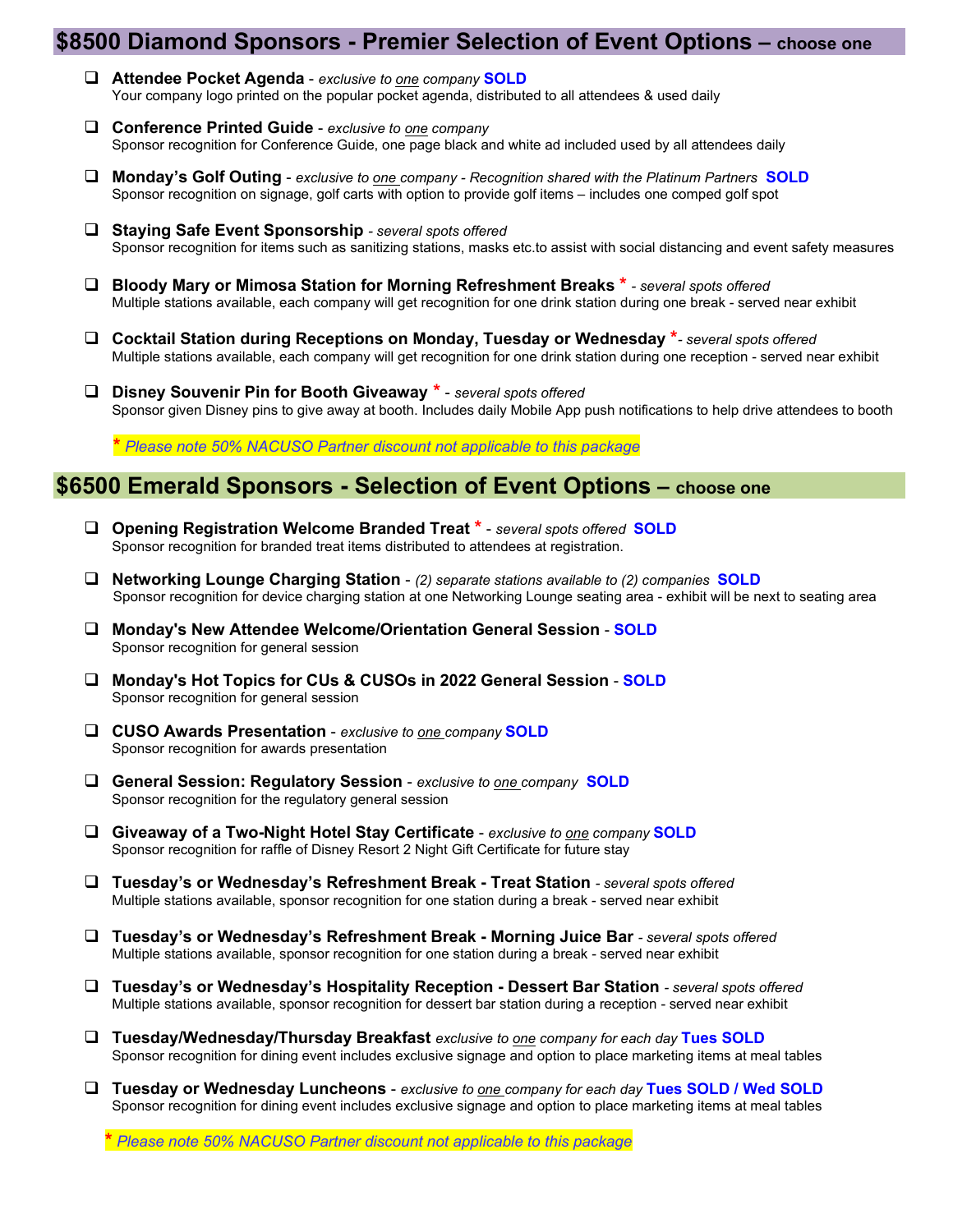### **\$8500 Diamond Sponsors - Premier Selection of Event Options – choose one**

- **Attendee Pocket Agenda** *exclusive to one company* **SOLD** Your company logo printed on the popular pocket agenda, distributed to all attendees & used daily
- **Conference Printed Guide** *exclusive to one company*  Sponsor recognition for Conference Guide, one page black and white ad included used by all attendees daily
- **Monday's Golf Outing** *exclusive to one company - Recognition shared with the Platinum Partners* **SOLD** Sponsor recognition on signage, golf carts with option to provide golf items – includes one comped golf spot
- **Staying Safe Event Sponsorship** *- several spots offered* Sponsor recognition for items such as sanitizing stations, masks etc.to assist with social distancing and event safety measures
- **Bloody Mary or Mimosa Station for Morning Refreshment Breaks \*** *- several spots offered* Multiple stations available, each company will get recognition for one drink station during one break - served near exhibit
- **Cocktail Station during Receptions on Monday, Tuesday or Wednesday \****- several spots offered* Multiple stations available, each company will get recognition for one drink station during one reception - served near exhibit
- **Disney Souvenir Pin for Booth Giveaway \*** *several spots offered* Sponsor given Disney pins to give away at booth. Includes daily Mobile App push notifications to help drive attendees to booth

 **\*** *Please note 50% NACUSO Partner discount not applicable to this package*

### **\$6500 Emerald Sponsors - Selection of Event Options – choose one**

- **Opening Registration Welcome Branded Treat \*** *several spots offered* **SOLD** Sponsor recognition for branded treat items distributed to attendees at registration.
- **Networking Lounge Charging Station** *(2) separate stations available to (2) companies* **SOLD** Sponsor recognition for device charging station at one Networking Lounge seating area - exhibit will be next to seating area
- **Monday's New Attendee Welcome/Orientation General Session SOLD** Sponsor recognition for general session
- **Monday's Hot Topics for CUs & CUSOs in 2022 General Session SOLD** Sponsor recognition for general session
- **CUSO Awards Presentation** *exclusive to one company* **SOLD** Sponsor recognition for awards presentation
- **General Session: Regulatory Session**  *exclusive to one company* **SOLD** Sponsor recognition for the regulatory general session
- **Giveaway of a Two-Night Hotel Stay Certificate**  *exclusive to one company* **SOLD** Sponsor recognition for raffle of Disney Resort 2 Night Gift Certificate for future stay
- **Tuesday's or Wednesday's Refreshment Break - Treat Station** *- several spots offered* Multiple stations available, sponsor recognition for one station during a break - served near exhibit
- **Tuesday's or Wednesday's Refreshment Break - Morning Juice Bar** *- several spots offered* Multiple stations available, sponsor recognition for one station during a break - served near exhibit
- **Tuesday's or Wednesday's Hospitality Reception - Dessert Bar Station** *- several spots offered* Multiple stations available, sponsor recognition for dessert bar station during a reception - served near exhibit
- **Tuesday/Wednesday/Thursday Breakfast** *exclusive to one company for each day* **Tues SOLD** Sponsor recognition for dining event includes exclusive signage and option to place marketing items at meal tables
- **Tuesday or Wednesday Luncheons** *exclusive to one company for each day* **Tues SOLD / Wed SOLD** Sponsor recognition for dining event includes exclusive signage and option to place marketing items at meal tables

**\*** *Please note 50% NACUSO Partner discount not applicable to this package*